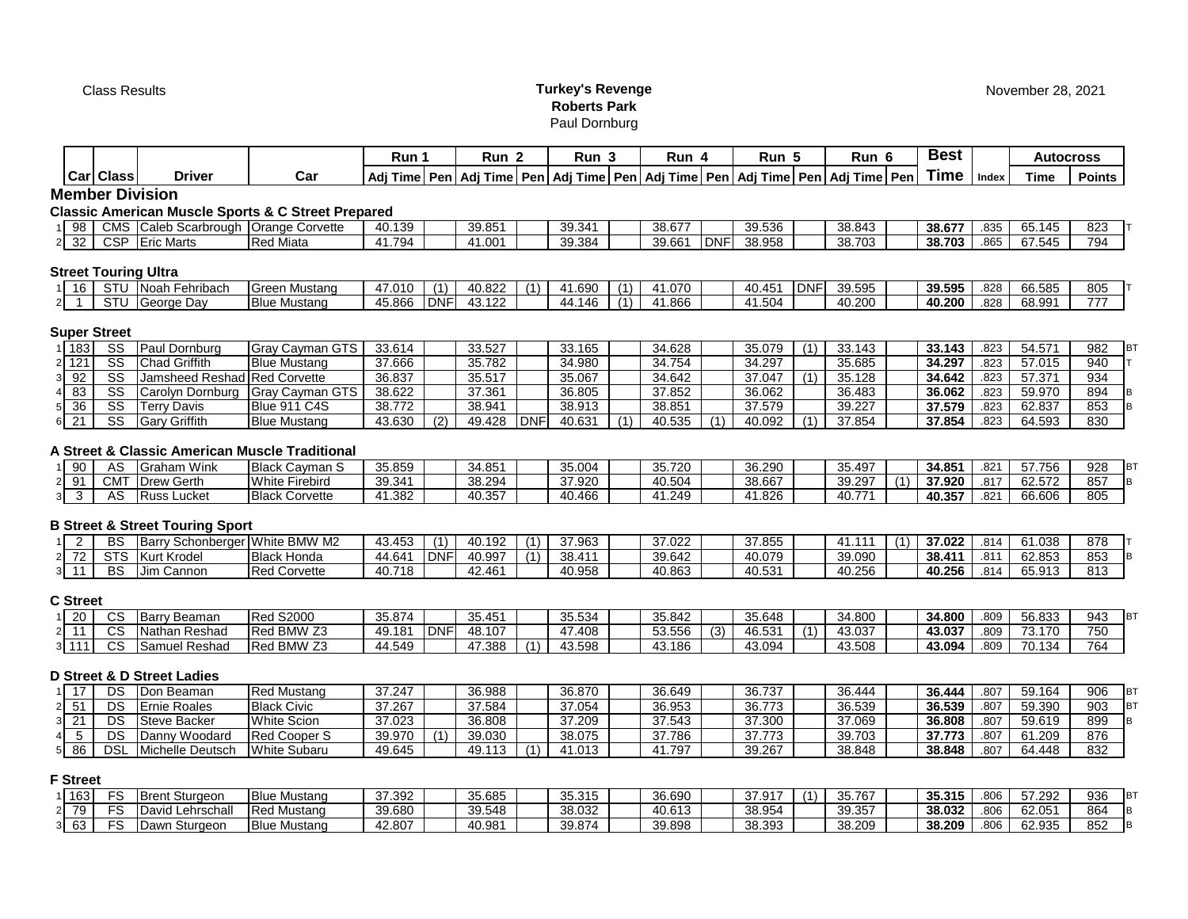# Class Results **Turkey's Revenge Roberts Park** Paul Dornburg

|                      |                        |                                                                      |                                                               | Run 1  |            | Run <sub>2</sub> |            | Run <sub>3</sub> |     | Run 4  |            | Run 5  |            | Run 6                                                                                      |     | <b>Best</b> |       | <b>Autocross</b> |                     |
|----------------------|------------------------|----------------------------------------------------------------------|---------------------------------------------------------------|--------|------------|------------------|------------|------------------|-----|--------|------------|--------|------------|--------------------------------------------------------------------------------------------|-----|-------------|-------|------------------|---------------------|
|                      | Car Class              | <b>Driver</b>                                                        | Car                                                           |        |            |                  |            |                  |     |        |            |        |            | Adj Time Pen Adj Time Pen Adj Time Pen Adj Time Pen Adj Time Pen Adj Time Pen Adj Time Pen |     | Time        | Index | <b>Time</b>      | <b>Points</b>       |
|                      |                        | <b>Member Division</b>                                               |                                                               |        |            |                  |            |                  |     |        |            |        |            |                                                                                            |     |             |       |                  |                     |
|                      |                        |                                                                      | <b>Classic American Muscle Sports &amp; C Street Prepared</b> |        |            |                  |            |                  |     |        |            |        |            |                                                                                            |     |             |       |                  |                     |
| 98                   |                        | CMS Caleb Scarbrough Orange Corvette                                 |                                                               | 40.139 |            | 39.851           |            | 39.341           |     | 38.677 |            | 39.536 |            | 38.843                                                                                     |     | 38.677      | .835  | 65.145           | 823                 |
| 32<br>2              |                        | CSP Eric Marts                                                       | <b>Red Miata</b>                                              | 41.794 |            | 41.001           |            | 39.384           |     | 39.661 | <b>DNF</b> | 38.958 |            | 38.703                                                                                     |     | 38.703      | .865  | 67.545           | 794                 |
|                      |                        |                                                                      |                                                               |        |            |                  |            |                  |     |        |            |        |            |                                                                                            |     |             |       |                  |                     |
|                      |                        | <b>Street Touring Ultra</b>                                          |                                                               |        |            |                  |            |                  |     |        |            |        |            |                                                                                            |     |             |       |                  |                     |
| 16                   |                        | STU Noah Fehribach                                                   | <b>Green Mustang</b>                                          | 47.010 | (1)        | 40.822           | (1)        | 41.690           | (1) | 41.070 |            | 40.451 | <b>DNF</b> | 39.595                                                                                     |     | 39.595      | .828  | 66.585           | 805                 |
| $\overline{2}$       |                        | STU George Day                                                       | <b>Blue Mustang</b>                                           | 45.866 | <b>DNF</b> | 43.122           |            | 44.146           | (1) | 41.866 |            | 41.504 |            | 40.200                                                                                     |     | 40.200      | .828  | 68.991           | 777                 |
|                      | <b>Super Street</b>    |                                                                      |                                                               |        |            |                  |            |                  |     |        |            |        |            |                                                                                            |     |             |       |                  |                     |
| 183                  | $\overline{\text{ss}}$ | Paul Dornburg                                                        | Gray Cayman GTS                                               | 33.614 |            | 33.527           |            | 33.165           |     | 34.628 |            | 35.079 | (1)        | 33.143                                                                                     |     | 33.143      | .823  | 54.571           | 982<br><b>BT</b>    |
| 121<br>2             | $\overline{\text{ss}}$ | <b>Chad Griffith</b>                                                 | <b>Blue Mustang</b>                                           | 37.666 |            | 35.782           |            | 34.980           |     | 34.754 |            | 34.297 |            | 35.685                                                                                     |     | 34.297      | .823  | 57.015           | 940<br>T            |
| 92<br>3              | $\overline{\text{SS}}$ | Jamsheed Reshad Red Corvette                                         |                                                               | 36.837 |            | 35.517           |            | 35.067           |     | 34.642 |            | 37.047 | (1)        | 35.128                                                                                     |     | 34.642      | .823  | 57.371           | 934                 |
| 83                   | $\overline{\text{SS}}$ | Carolyn Dornburg                                                     | <b>Gray Cayman GTS</b>                                        | 38.622 |            | 37.361           |            | 36.805           |     | 37.852 |            | 36.062 |            | 36.483                                                                                     |     | 36.062      | .823  | 59.970           | 894<br>B            |
| 36<br>5              | $\overline{\text{SS}}$ | <b>Terry Davis</b>                                                   | Blue 911 C4S                                                  | 38.772 |            | 38.941           |            | 38.913           |     | 38.851 |            | 37.579 |            | 39.227                                                                                     |     | 37.579      | .823  | 62.837           | B<br>853            |
| 21<br>6              | $\overline{\text{SS}}$ | <b>Gary Griffith</b>                                                 | <b>Blue Mustang</b>                                           | 43.630 | (2)        | 49.428           | <b>DNF</b> | 40.631           | (1) | 40.535 | (1)        | 40.092 | (1)        | 37.854                                                                                     |     | 37.854      | .823  | 64.593           | 830                 |
| 90                   | AS                     | A Street & Classic American Muscle Traditional<br><b>Graham Wink</b> | <b>Black Cayman S</b>                                         | 35.859 |            | 34.851           |            | 35.004           |     | 35.720 |            | 36.290 |            | 35.497                                                                                     |     | 34.851      | .821  | 57.756           | 928<br><b>BT</b>    |
| 91<br>$\overline{2}$ |                        | <b>CMT Drew Gerth</b>                                                | <b>White Firebird</b>                                         | 39.341 |            | 38.294           |            | 37.920           |     | 40.504 |            | 38.667 |            | 39.297                                                                                     | (1) | 37.920      | .817  | 62.572           | B<br>857            |
| 3<br>3               | AS                     | <b>Russ Lucket</b>                                                   | <b>Black Corvette</b>                                         | 41.382 |            | 40.357           |            | 40.466           |     | 41.249 |            | 41.826 |            | 40.771                                                                                     |     | 40.357      | .821  | 66.606           | 805                 |
|                      |                        | <b>B Street &amp; Street Touring Sport</b>                           |                                                               |        |            |                  |            |                  |     |        |            |        |            |                                                                                            |     |             |       |                  |                     |
| $\overline{2}$       | <b>BS</b>              | Barry Schonberger White BMW M2                                       |                                                               | 43.453 | (1)        | 40.192           | (1)        | 37.963           |     | 37.022 |            | 37.855 |            | 41.111                                                                                     | (1) | 37.022      | .814  | 61.038           | 878                 |
| 72<br>$\overline{2}$ |                        | STS Kurt Krodel                                                      | <b>Black Honda</b>                                            | 44.641 | <b>DNF</b> | 40.997           | (1)        | 38.411           |     | 39.642 |            | 40.079 |            | 39.090                                                                                     |     | 38.411      | .811  | 62.853           | 853<br>B            |
| 11<br>3              | <b>BS</b>              | Jim Cannon                                                           | <b>Red Corvette</b>                                           | 40.718 |            | 42.461           |            | 40.958           |     | 40.863 |            | 40.531 |            | 40.256                                                                                     |     | 40.256      | .814  | 65.913           | 813                 |
| <b>C</b> Street      |                        |                                                                      |                                                               |        |            |                  |            |                  |     |        |            |        |            |                                                                                            |     |             |       |                  |                     |
| 20                   | <b>CS</b>              | <b>Barry Beaman</b>                                                  | <b>Red S2000</b>                                              | 35.874 |            | 35.451           |            | 35.534           |     | 35.842 |            | 35.648 |            | 34.800                                                                                     |     | 34.800      | .809  | 56.833           | 943<br>BT           |
| 11<br>2              | <b>CS</b>              | Nathan Reshad                                                        | Red BMW Z3                                                    | 49.181 | <b>DNF</b> | 48.107           |            | 47.408           |     | 53.556 | (3)        | 46.531 | (1)        | 43.037                                                                                     |     | 43.037      | .809  | 73.170           | 750                 |
| $3 \; 111$           | CS                     | Samuel Reshad                                                        | Red BMW Z3                                                    | 44.549 |            | 47.388           | (1)        | 43.598           |     | 43.186 |            | 43.094 |            | 43.508                                                                                     |     | 43.094      | .809  | 70.134           | 764                 |
|                      |                        |                                                                      |                                                               |        |            |                  |            |                  |     |        |            |        |            |                                                                                            |     |             |       |                  |                     |
|                      |                        | <b>D Street &amp; D Street Ladies</b>                                |                                                               |        |            |                  |            |                  |     |        |            |        |            |                                                                                            |     |             |       |                  |                     |
| 17                   | <b>DS</b>              | Don Beaman                                                           | <b>Red Mustang</b>                                            | 37.247 |            | 36.988           |            | 36.870           |     | 36.649 |            | 36.737 |            | 36.444                                                                                     |     | 36.444      | .807  | 59.164           | 906<br>BT           |
| 51<br>2              | <b>DS</b>              | <b>Ernie Roales</b>                                                  | <b>Black Civic</b>                                            | 37.267 |            | 37.584           |            | 37.054           |     | 36.953 |            | 36.773 |            | 36.539                                                                                     |     | 36.539      | .807  | 59.390           | 1вт<br>903          |
| 21<br>3              | <b>DS</b>              | <b>Steve Backer</b>                                                  | <b>White Scion</b>                                            | 37.023 |            | 36.808           |            | 37.209           |     | 37.543 |            | 37.300 |            | 37.069                                                                                     |     | 36.808      | .807  | 59.619           | lв.<br>899          |
| $\overline{5}$       | <b>DS</b>              | Danny Woodard                                                        | <b>Red Cooper S</b>                                           | 39.970 | (1)        | 39.030           |            | 38.075           |     | 37.786 |            | 37.773 |            | 39.703                                                                                     |     | 37.773      | .807  | 61.209           | 876                 |
| 86<br>5              | <b>DSL</b>             | Michelle Deutsch                                                     | <b>White Subaru</b>                                           | 49.645 |            | 49.113           | (1)        | 41.013           |     | 41.797 |            | 39.267 |            | 38.848                                                                                     |     | 38.848      | .807  | 64.448           | 832                 |
| <b>F</b> Street      |                        |                                                                      |                                                               |        |            |                  |            |                  |     |        |            |        |            |                                                                                            |     |             |       |                  |                     |
| 163                  | FS                     | <b>Brent Sturgeon</b>                                                | <b>Blue Mustang</b>                                           | 37.392 |            | 35.685           |            | 35.315           |     | 36.690 |            | 37.917 | (1)        | 35.767                                                                                     |     | 35.315      | .806  | 57.292           | 936<br>BT           |
| 79<br>$\overline{2}$ | FS                     | David Lehrschall                                                     | <b>Red Mustang</b>                                            | 39.680 |            | 39.548           |            | 38.032           |     | 40.613 |            | 38.954 |            | 39.357                                                                                     |     | 38.032      | .806  | 62.051           | $\, {\bf B}$<br>864 |
| 63<br>3              | FS                     | Dawn Sturgeon                                                        | <b>Blue Mustang</b>                                           | 42.807 |            | 40.981           |            | 39.874           |     | 39.898 |            | 38.393 |            | 38.209                                                                                     |     | 38.209      | .806  | 62.935           | lв<br>852           |
|                      |                        |                                                                      |                                                               |        |            |                  |            |                  |     |        |            |        |            |                                                                                            |     |             |       |                  |                     |